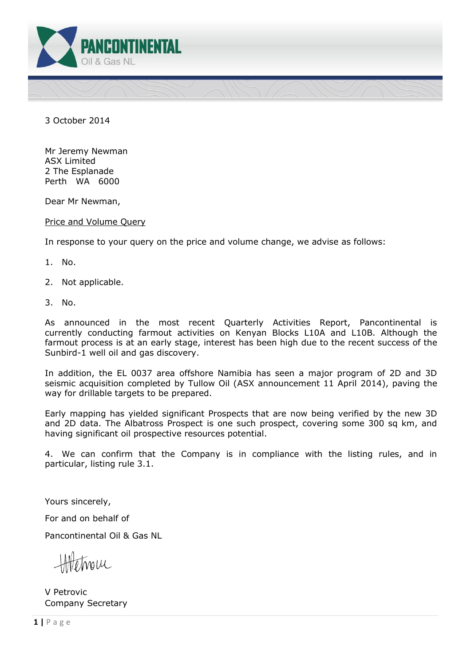

3 October 2014

Mr Jeremy Newman ASX Limited 2 The Esplanade Perth WA 6000

Dear Mr Newman,

Price and Volume Query

In response to your query on the price and volume change, we advise as follows:

1. No.

- 2. Not applicable.
- 3. No.

As announced in the most recent Quarterly Activities Report, Pancontinental is currently conducting farmout activities on Kenyan Blocks L10A and L10B. Although the farmout process is at an early stage, interest has been high due to the recent success of the Sunbird-1 well oil and gas discovery.

In addition, the EL 0037 area offshore Namibia has seen a major program of 2D and 3D seismic acquisition completed by Tullow Oil (ASX announcement 11 April 2014), paving the way for drillable targets to be prepared.

Early mapping has yielded significant Prospects that are now being verified by the new 3D and 2D data. The Albatross Prospect is one such prospect, covering some 300 sq km, and having significant oil prospective resources potential.

4. We can confirm that the Company is in compliance with the listing rules, and in particular, listing rule 3.1.

Yours sincerely,

For and on behalf of

Pancontinental Oil & Gas NL

Hittetrom

V Petrovic Company Secretary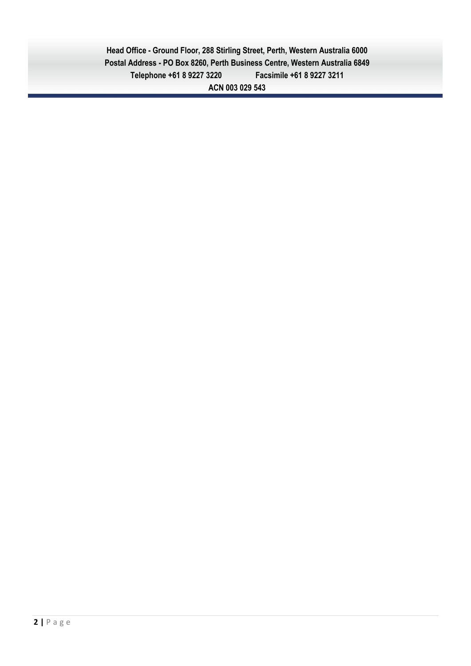**Head Office - Ground Floor, 288 Stirling Street, Perth, Western Australia 6000 Postal Address - PO Box 8260, Perth Business Centre, Western Australia 6849 Telephone +61 8 9227 3220 Facsimile +61 8 9227 3211 ACN 003 029 543**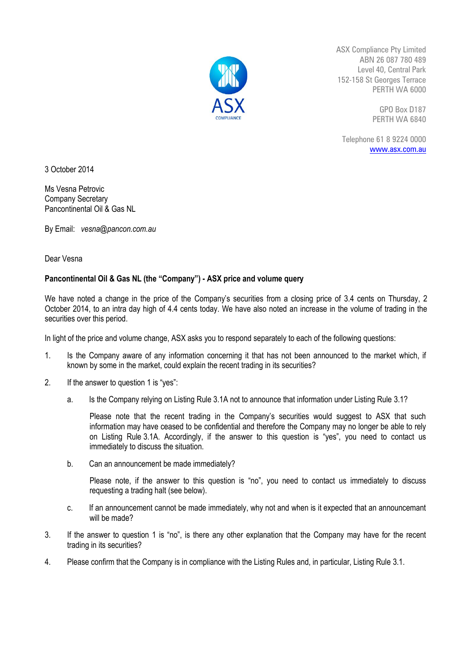

ASX Compliance Pty Limited ABN 26 087 780 489 Level 40, Central Park 152-158 St Georges Terrace PERTH WA 6000

> GPO Box D187 PERTH WA 6840

Telephone 61 8 9224 0000 [www.asx.com.au](http://www.asx.com.au/)

3 October 2014

Ms Vesna Petrovic Company Secretary Pancontinental Oil & Gas NL

By Email: *vesna@pancon.com.au*

Dear Vesna

## **Pancontinental Oil & Gas NL (the "Company") - ASX price and volume query**

We have noted a change in the price of the Company's securities from a closing price of 3.4 cents on Thursday, 2 October 2014, to an intra day high of 4.4 cents today. We have also noted an increase in the volume of trading in the securities over this period.

In light of the price and volume change, ASX asks you to respond separately to each of the following questions:

- 1. Is the Company aware of any information concerning it that has not been announced to the market which, if known by some in the market, could explain the recent trading in its securities?
- 2. If the answer to question 1 is "yes":
	- a. Is the Company relying on Listing Rule 3.1A not to announce that information under Listing Rule 3.1?

Please note that the recent trading in the Company's securities would suggest to ASX that such information may have ceased to be confidential and therefore the Company may no longer be able to rely on Listing Rule 3.1A. Accordingly, if the answer to this question is "yes", you need to contact us immediately to discuss the situation.

b. Can an announcement be made immediately?

Please note, if the answer to this question is "no", you need to contact us immediately to discuss requesting a trading halt (see below).

- c. If an announcement cannot be made immediately, why not and when is it expected that an announcemant will be made?
- 3. If the answer to question 1 is "no", is there any other explanation that the Company may have for the recent trading in its securities?
- 4. Please confirm that the Company is in compliance with the Listing Rules and, in particular, Listing Rule 3.1.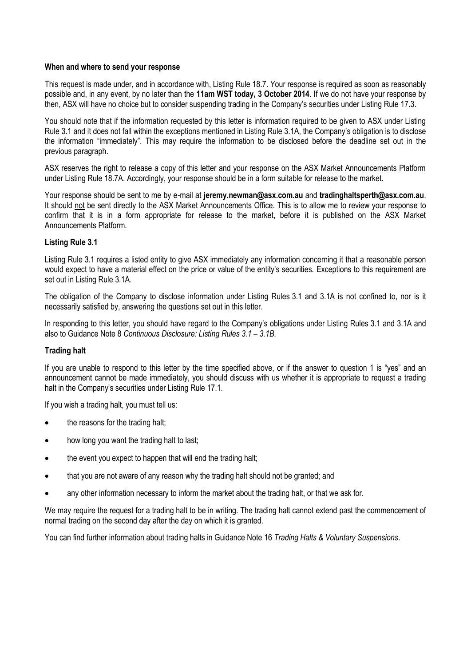## **When and where to send your response**

This request is made under, and in accordance with, Listing Rule 18.7. Your response is required as soon as reasonably possible and, in any event, by no later than the **11am WST today, 3 October 2014**. If we do not have your response by then, ASX will have no choice but to consider suspending trading in the Company's securities under Listing Rule 17.3.

You should note that if the information requested by this letter is information required to be given to ASX under Listing Rule 3.1 and it does not fall within the exceptions mentioned in Listing Rule 3.1A, the Company's obligation is to disclose the information "immediately". This may require the information to be disclosed before the deadline set out in the previous paragraph.

ASX reserves the right to release a copy of this letter and your response on the ASX Market Announcements Platform under Listing Rule 18.7A. Accordingly, your response should be in a form suitable for release to the market.

Your response should be sent to me by e-mail at **jeremy.newman@asx.com.au** and **tradinghaltsperth@asx.com.au**. It should not be sent directly to the ASX Market Announcements Office. This is to allow me to review your response to confirm that it is in a form appropriate for release to the market, before it is published on the ASX Market Announcements Platform.

## **Listing Rule 3.1**

Listing Rule 3.1 requires a listed entity to give ASX immediately any information concerning it that a reasonable person would expect to have a material effect on the price or value of the entity's securities. Exceptions to this requirement are set out in Listing Rule 3.1A.

The obligation of the Company to disclose information under Listing Rules 3.1 and 3.1A is not confined to, nor is it necessarily satisfied by, answering the questions set out in this letter.

In responding to this letter, you should have regard to the Company's obligations under Listing Rules 3.1 and 3.1A and also to Guidance Note 8 *Continuous Disclosure: Listing Rules 3.1 – 3.1B*.

## **Trading halt**

If you are unable to respond to this letter by the time specified above, or if the answer to question 1 is "yes" and an announcement cannot be made immediately, you should discuss with us whether it is appropriate to request a trading halt in the Company's securities under Listing Rule 17.1.

If you wish a trading halt, you must tell us:

- the reasons for the trading halt;
- how long you want the trading halt to last;
- the event you expect to happen that will end the trading halt;
- that you are not aware of any reason why the trading halt should not be granted; and
- any other information necessary to inform the market about the trading halt, or that we ask for.

We may require the request for a trading halt to be in writing. The trading halt cannot extend past the commencement of normal trading on the second day after the day on which it is granted.

You can find further information about trading halts in Guidance Note 16 *Trading Halts & Voluntary Suspensions*.